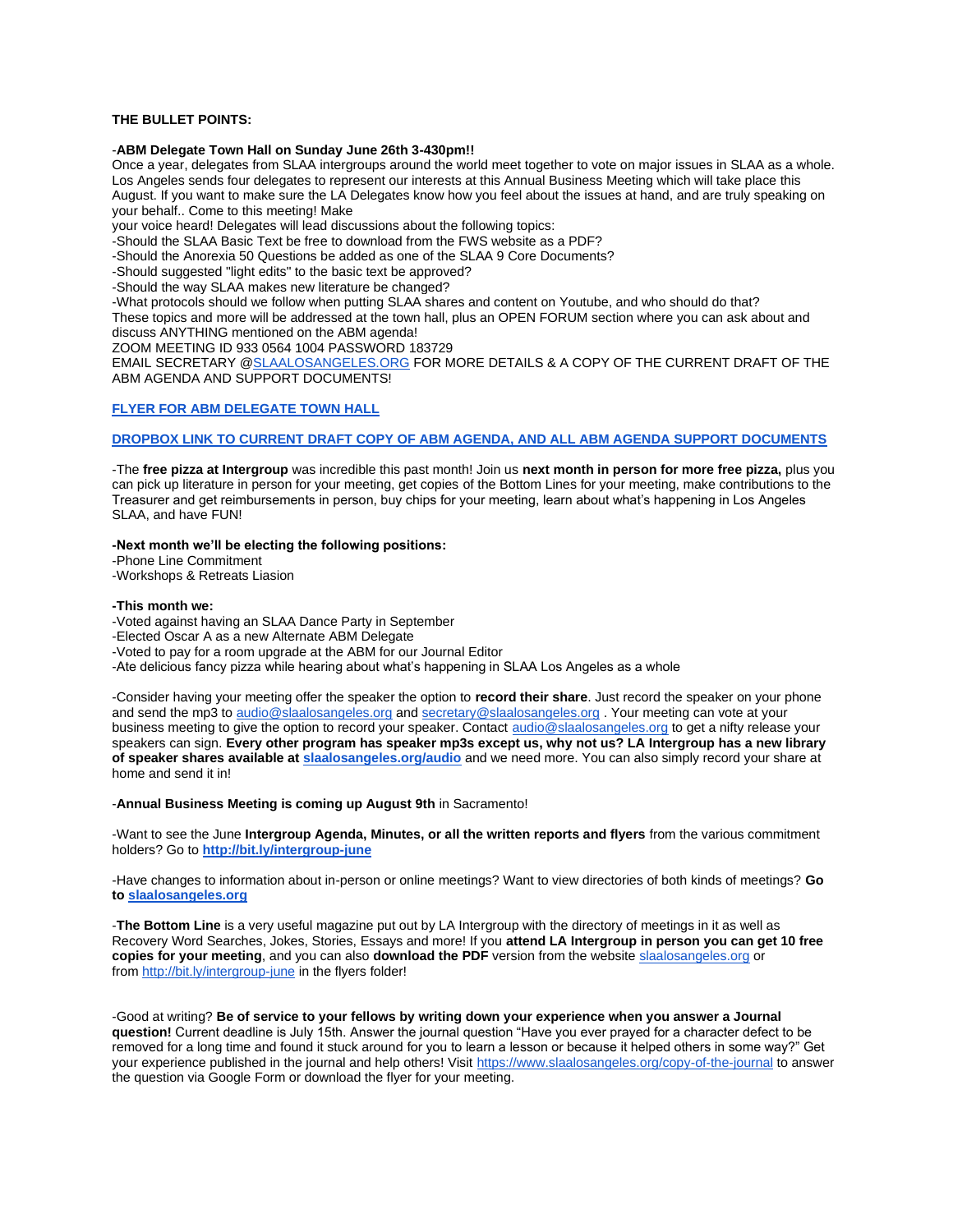# **THE BULLET POINTS:**

#### -**ABM Delegate Town Hall on Sunday June 26th 3-430pm!!**

Once a year, delegates from SLAA intergroups around the world meet together to vote on major issues in SLAA as a whole. Los Angeles sends four delegates to represent our interests at this Annual Business Meeting which will take place this August. If you want to make sure the LA Delegates know how you feel about the issues at hand, and are truly speaking on your behalf.. Come to this meeting! Make

your voice heard! Delegates will lead discussions about the following topics:

-Should the SLAA Basic Text be free to download from the FWS website as a PDF?

-Should the Anorexia 50 Questions be added as one of the SLAA 9 Core Documents?

-Should suggested "light edits" to the basic text be approved?

-Should the way SLAA makes new literature be changed?

-What protocols should we follow when putting SLAA shares and content on Youtube, and who should do that? These topics and more will be addressed at the town hall, plus an OPEN FORUM section where you can ask about and discuss ANYTHING mentioned on the ABM agenda!

ZOOM MEETING ID 933 0564 1004 PASSWORD 183729

EMAIL SECRETARY [@SLAALOSANGELES.ORG](http://slaalosangeles.org/) FOR MORE DETAILS & A COPY OF THE CURRENT DRAFT OF THE ABM AGENDA AND SUPPORT DOCUMENTS!

# **[FLYER FOR ABM DELEGATE TOWN HALL](https://www.dropbox.com/scl/fo/eironmz7uv6fyppyb82jq/h?dl=0&rlkey=zaavfena8qkj1dr27wp73k91j)**

### **DROPBOX LINK TO [CURRENT DRAFT COPY OF ABM AGENDA, AND ALL ABM AGENDA SUPPORT DOCUMENTS](https://www.dropbox.com/scl/fo/1e5nz3af6gfgwockqfnqe/h?dl=0&rlkey=dg74dgzx5z712kpxti6frenbw)**

-The **free pizza at Intergroup** was incredible this past month! Join us **next month in person for more free pizza,** plus you can pick up literature in person for your meeting, get copies of the Bottom Lines for your meeting, make contributions to the Treasurer and get reimbursements in person, buy chips for your meeting, learn about what's happening in Los Angeles SLAA, and have FUN!

### **-Next month we'll be electing the following positions:**

-Phone Line Commitment

-Workshops & Retreats Liasion

### **-This month we:**

-Voted against having an SLAA Dance Party in September

-Elected Oscar A as a new Alternate ABM Delegate

-Voted to pay for a room upgrade at the ABM for our Journal Editor

-Ate delicious fancy pizza while hearing about what's happening in SLAA Los Angeles as a whole

-Consider having your meeting offer the speaker the option to **record their share**. Just record the speaker on your phone and send the mp3 to [audio@slaalosangeles.org](mailto:audio@slaalosangeles.org) and [secretary@slaalosangeles.org](mailto:secretary@slaalosangeles.org) . Your meeting can vote at your business meeting to give the option to record your speaker. Contact [audio@slaalosangeles.org](mailto:audio@slaalosangeles.org) to get a nifty release your speakers can sign. **Every other program has speaker mp3s except us, why not us? LA Intergroup has a new library of speaker shares available at [slaalosangeles.org/audio](http://slaalosangeles.org/audio)** and we need more. You can also simply record your share at home and send it in!

-**Annual Business Meeting is coming up August 9th** in Sacramento!

-Want to see the June **Intergroup Agenda, Minutes, or all the written reports and flyers** from the various commitment holders? Go to **<http://bit.ly/intergroup-june>**

-Have changes to information about in-person or online meetings? Want to view directories of both kinds of meetings? **Go to [slaalosangeles.org](http://slaalosangeles.org/)**

-**The Bottom Line** is a very useful magazine put out by LA Intergroup with the directory of meetings in it as well as Recovery Word Searches, Jokes, Stories, Essays and more! If you **attend LA Intergroup in person you can get 10 free copies for your meeting**, and you can also **download the PDF** version from the website [slaalosangeles.org](http://slaalosangeles.org/) or from <http://bit.ly/intergroup-june> in the flyers folder!

-Good at writing? **Be of service to your fellows by writing down your experience when you answer a Journal question!** Current deadline is July 15th. Answer the journal question "Have you ever prayed for a character defect to be removed for a long time and found it stuck around for you to learn a lesson or because it helped others in some way?" Get your experience published in the journal and help others! Visit <https://www.slaalosangeles.org/copy-of-the-journal> to answer the question via Google Form or download the flyer for your meeting.